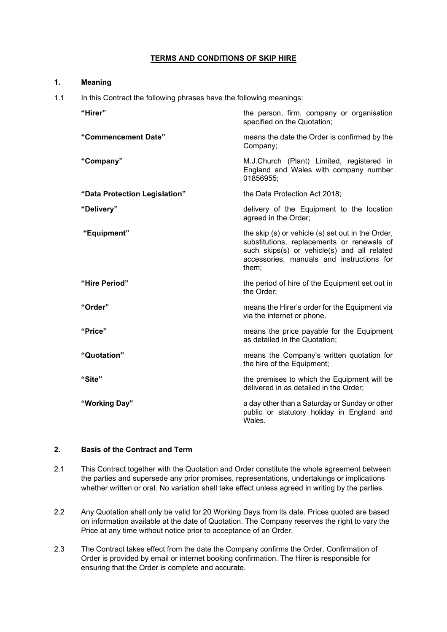## **TERMS AND CONDITIONS OF SKIP HIRE**

| 1.                                                                         | <b>Meaning</b>                |                                                                                                                                                                                                      |
|----------------------------------------------------------------------------|-------------------------------|------------------------------------------------------------------------------------------------------------------------------------------------------------------------------------------------------|
| In this Contract the following phrases have the following meanings:<br>1.1 |                               |                                                                                                                                                                                                      |
|                                                                            | "Hirer"                       | the person, firm, company or organisation<br>specified on the Quotation;                                                                                                                             |
|                                                                            | "Commencement Date"           | means the date the Order is confirmed by the<br>Company;                                                                                                                                             |
|                                                                            | "Company"                     | M.J.Church (Plant) Limited, registered in<br>England and Wales with company number<br>01856955;                                                                                                      |
|                                                                            | "Data Protection Legislation" | the Data Protection Act 2018;                                                                                                                                                                        |
|                                                                            | "Delivery"                    | delivery of the Equipment to the location<br>agreed in the Order;                                                                                                                                    |
|                                                                            | "Equipment"                   | the skip (s) or vehicle (s) set out in the Order,<br>substitutions, replacements or renewals of<br>such skips(s) or vehicle(s) and all related<br>accessories, manuals and instructions for<br>them; |
|                                                                            | "Hire Period"                 | the period of hire of the Equipment set out in<br>the Order;                                                                                                                                         |
|                                                                            | "Order"                       | means the Hirer's order for the Equipment via<br>via the internet or phone.                                                                                                                          |
|                                                                            | "Price"                       | means the price payable for the Equipment<br>as detailed in the Quotation;                                                                                                                           |
|                                                                            | "Quotation"                   | means the Company's written quotation for<br>the hire of the Equipment;                                                                                                                              |
|                                                                            | "Site"                        | the premises to which the Equipment will be<br>delivered in as detailed in the Order;                                                                                                                |
|                                                                            | "Working Day"                 | a day other than a Saturday or Sunday or other<br>public or statutory holiday in England and<br>Wales.                                                                                               |

# **2. Basis of the Contract and Term**

- 2.1 This Contract together with the Quotation and Order constitute the whole agreement between the parties and supersede any prior promises, representations, undertakings or implications whether written or oral. No variation shall take effect unless agreed in writing by the parties.
- 2.2 Any Quotation shall only be valid for 20 Working Days from its date. Prices quoted are based on information available at the date of Quotation. The Company reserves the right to vary the Price at any time without notice prior to acceptance of an Order.
- 2.3 The Contract takes effect from the date the Company confirms the Order. Confirmation of Order is provided by email or internet booking confirmation. The Hirer is responsible for ensuring that the Order is complete and accurate.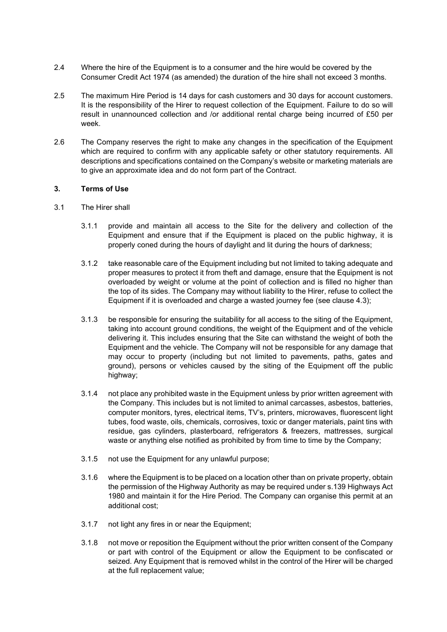- 2.4 Where the hire of the Equipment is to a consumer and the hire would be covered by the Consumer Credit Act 1974 (as amended) the duration of the hire shall not exceed 3 months.
- 2.5 The maximum Hire Period is 14 days for cash customers and 30 days for account customers. It is the responsibility of the Hirer to request collection of the Equipment. Failure to do so will result in unannounced collection and /or additional rental charge being incurred of £50 per week.
- 2.6 The Company reserves the right to make any changes in the specification of the Equipment which are required to confirm with any applicable safety or other statutory requirements. All descriptions and specifications contained on the Company's website or marketing materials are to give an approximate idea and do not form part of the Contract.

#### **3. Terms of Use**

- 3.1 The Hirer shall
	- 3.1.1 provide and maintain all access to the Site for the delivery and collection of the Equipment and ensure that if the Equipment is placed on the public highway, it is properly coned during the hours of daylight and lit during the hours of darkness;
	- 3.1.2 take reasonable care of the Equipment including but not limited to taking adequate and proper measures to protect it from theft and damage, ensure that the Equipment is not overloaded by weight or volume at the point of collection and is filled no higher than the top of its sides. The Company may without liability to the Hirer, refuse to collect the Equipment if it is overloaded and charge a wasted journey fee (see clause 4.3);
	- 3.1.3 be responsible for ensuring the suitability for all access to the siting of the Equipment, taking into account ground conditions, the weight of the Equipment and of the vehicle delivering it. This includes ensuring that the Site can withstand the weight of both the Equipment and the vehicle. The Company will not be responsible for any damage that may occur to property (including but not limited to pavements, paths, gates and ground), persons or vehicles caused by the siting of the Equipment off the public highway;
	- 3.1.4 not place any prohibited waste in the Equipment unless by prior written agreement with the Company. This includes but is not limited to animal carcasses, asbestos, batteries, computer monitors, tyres, electrical items, TV's, printers, microwaves, fluorescent light tubes, food waste, oils, chemicals, corrosives, toxic or danger materials, paint tins with residue, gas cylinders, plasterboard, refrigerators & freezers, mattresses, surgical waste or anything else notified as prohibited by from time to time by the Company;
	- 3.1.5 not use the Equipment for any unlawful purpose;
	- 3.1.6 where the Equipment is to be placed on a location other than on private property, obtain the permission of the Highway Authority as may be required under s.139 Highways Act 1980 and maintain it for the Hire Period. The Company can organise this permit at an additional cost;
	- 3.1.7 not light any fires in or near the Equipment;
	- 3.1.8 not move or reposition the Equipment without the prior written consent of the Company or part with control of the Equipment or allow the Equipment to be confiscated or seized. Any Equipment that is removed whilst in the control of the Hirer will be charged at the full replacement value;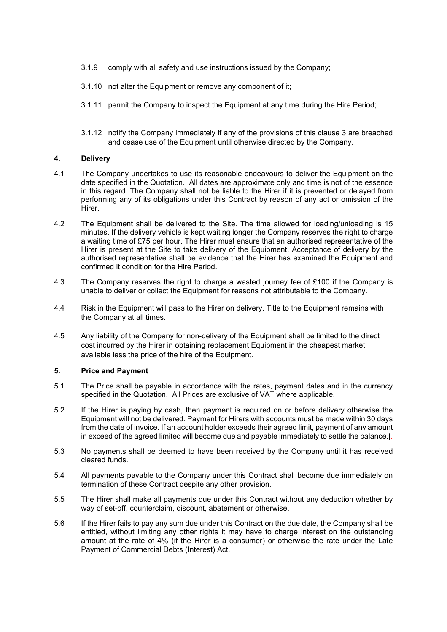- 3.1.9 comply with all safety and use instructions issued by the Company;
- 3.1.10 not alter the Equipment or remove any component of it;
- 3.1.11 permit the Company to inspect the Equipment at any time during the Hire Period;
- 3.1.12 notify the Company immediately if any of the provisions of this clause 3 are breached and cease use of the Equipment until otherwise directed by the Company.

#### **4. Delivery**

- 4.1 The Company undertakes to use its reasonable endeavours to deliver the Equipment on the date specified in the Quotation. All dates are approximate only and time is not of the essence in this regard. The Company shall not be liable to the Hirer if it is prevented or delayed from performing any of its obligations under this Contract by reason of any act or omission of the Hirer.
- 4.2 The Equipment shall be delivered to the Site. The time allowed for loading/unloading is 15 minutes. If the delivery vehicle is kept waiting longer the Company reserves the right to charge a waiting time of £75 per hour. The Hirer must ensure that an authorised representative of the Hirer is present at the Site to take delivery of the Equipment. Acceptance of delivery by the authorised representative shall be evidence that the Hirer has examined the Equipment and confirmed it condition for the Hire Period.
- 4.3 The Company reserves the right to charge a wasted journey fee of £100 if the Company is unable to deliver or collect the Equipment for reasons not attributable to the Company.
- 4.4 Risk in the Equipment will pass to the Hirer on delivery. Title to the Equipment remains with the Company at all times.
- 4.5 Any liability of the Company for non-delivery of the Equipment shall be limited to the direct cost incurred by the Hirer in obtaining replacement Equipment in the cheapest market available less the price of the hire of the Equipment.

## **5. Price and Payment**

- 5.1 The Price shall be payable in accordance with the rates, payment dates and in the currency specified in the Quotation. All Prices are exclusive of VAT where applicable.
- 5.2 If the Hirer is paying by cash, then payment is required on or before delivery otherwise the Equipment will not be delivered. Payment for Hirers with accounts must be made within 30 days from the date of invoice. If an account holder exceeds their agreed limit, payment of any amount in exceed of the agreed limited will become due and payable immediately to settle the balance.[.
- 5.3 No payments shall be deemed to have been received by the Company until it has received cleared funds.
- 5.4 All payments payable to the Company under this Contract shall become due immediately on termination of these Contract despite any other provision.
- 5.5 The Hirer shall make all payments due under this Contract without any deduction whether by way of set-off, counterclaim, discount, abatement or otherwise.
- 5.6 If the Hirer fails to pay any sum due under this Contract on the due date, the Company shall be entitled, without limiting any other rights it may have to charge interest on the outstanding amount at the rate of 4% (if the Hirer is a consumer) or otherwise the rate under the Late Payment of Commercial Debts (Interest) Act.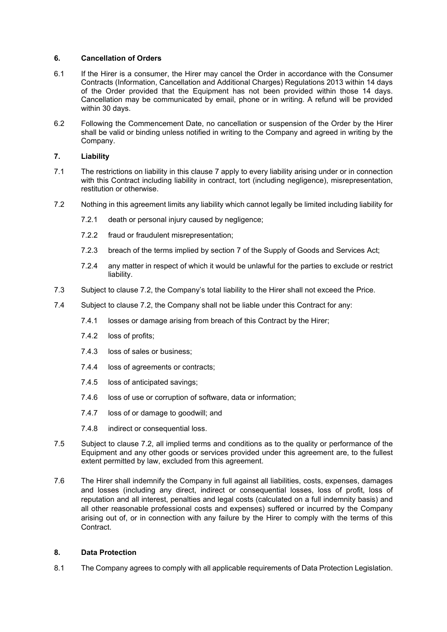### **6. Cancellation of Orders**

- 6.1 If the Hirer is a consumer, the Hirer may cancel the Order in accordance with the Consumer Contracts (Information, Cancellation and Additional Charges) Regulations 2013 within 14 days of the Order provided that the Equipment has not been provided within those 14 days. Cancellation may be communicated by email, phone or in writing. A refund will be provided within 30 days.
- 6.2 Following the Commencement Date, no cancellation or suspension of the Order by the Hirer shall be valid or binding unless notified in writing to the Company and agreed in writing by the Company.

### **7. Liability**

- 7.1 The restrictions on liability in this clause 7 apply to every liability arising under or in connection with this Contract including liability in contract, tort (including negligence), misrepresentation, restitution or otherwise.
- 7.2 Nothing in this agreement limits any liability which cannot legally be limited including liability for
	- 7.2.1 death or personal injury caused by negligence;
	- 7.2.2 fraud or fraudulent misrepresentation;
	- 7.2.3 breach of the terms implied by section 7 of the Supply of Goods and Services Act;
	- 7.2.4 any matter in respect of which it would be unlawful for the parties to exclude or restrict liability.
- 7.3 Subject to clause 7.2, the Company's total liability to the Hirer shall not exceed the Price.
- 7.4 Subject to clause 7.2, the Company shall not be liable under this Contract for any:
	- 7.4.1 losses or damage arising from breach of this Contract by the Hirer;
	- 7.4.2 loss of profits;
	- 7.4.3 loss of sales or business;
	- 7.4.4 loss of agreements or contracts;
	- 7.4.5 loss of anticipated savings;
	- 7.4.6 loss of use or corruption of software, data or information;
	- 7.4.7 loss of or damage to goodwill; and
	- 7.4.8 indirect or consequential loss.
- 7.5 Subject to clause 7.2, all implied terms and conditions as to the quality or performance of the Equipment and any other goods or services provided under this agreement are, to the fullest extent permitted by law, excluded from this agreement.
- 7.6 The Hirer shall indemnify the Company in full against all liabilities, costs, expenses, damages and losses (including any direct, indirect or consequential losses, loss of profit, loss of reputation and all interest, penalties and legal costs (calculated on a full indemnity basis) and all other reasonable professional costs and expenses) suffered or incurred by the Company arising out of, or in connection with any failure by the Hirer to comply with the terms of this Contract.

#### **8. Data Protection**

8.1 The Company agrees to comply with all applicable requirements of Data Protection Legislation.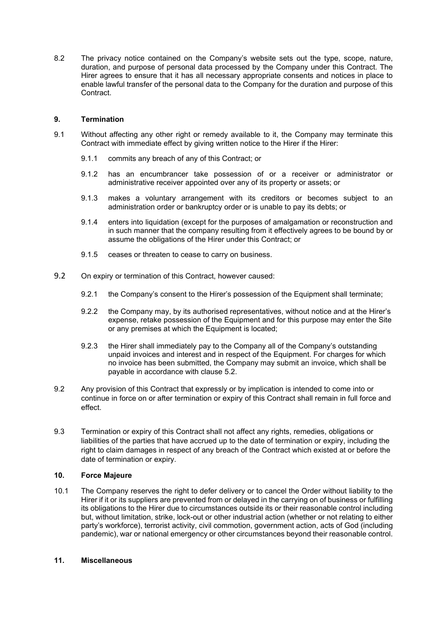8.2 The privacy notice contained on the Company's website sets out the type, scope, nature, duration, and purpose of personal data processed by the Company under this Contract. The Hirer agrees to ensure that it has all necessary appropriate consents and notices in place to enable lawful transfer of the personal data to the Company for the duration and purpose of this Contract.

### **9. Termination**

- 9.1 Without affecting any other right or remedy available to it, the Company may terminate this Contract with immediate effect by giving written notice to the Hirer if the Hirer:
	- 9.1.1 commits any breach of any of this Contract; or
	- 9.1.2 has an encumbrancer take possession of or a receiver or administrator or administrative receiver appointed over any of its property or assets; or
	- 9.1.3 makes a voluntary arrangement with its creditors or becomes subject to an administration order or bankruptcy order or is unable to pay its debts; or
	- 9.1.4 enters into liquidation (except for the purposes of amalgamation or reconstruction and in such manner that the company resulting from it effectively agrees to be bound by or assume the obligations of the Hirer under this Contract; or
	- 9.1.5 ceases or threaten to cease to carry on business.
- 9.2 On expiry or termination of this Contract, however caused:
	- 9.2.1 the Company's consent to the Hirer's possession of the Equipment shall terminate;
	- 9.2.2 the Company may, by its authorised representatives, without notice and at the Hirer's expense, retake possession of the Equipment and for this purpose may enter the Site or any premises at which the Equipment is located;
	- 9.2.3 the Hirer shall immediately pay to the Company all of the Company's outstanding unpaid invoices and interest and in respect of the Equipment. For charges for which no invoice has been submitted, the Company may submit an invoice, which shall be payable in accordance with clause 5.2.
- 9.2 Any provision of this Contract that expressly or by implication is intended to come into or continue in force on or after termination or expiry of this Contract shall remain in full force and effect.
- 9.3 Termination or expiry of this Contract shall not affect any rights, remedies, obligations or liabilities of the parties that have accrued up to the date of termination or expiry, including the right to claim damages in respect of any breach of the Contract which existed at or before the date of termination or expiry.

### **10. Force Majeure**

10.1 The Company reserves the right to defer delivery or to cancel the Order without liability to the Hirer if it or its suppliers are prevented from or delayed in the carrying on of business or fulfilling its obligations to the Hirer due to circumstances outside its or their reasonable control including but, without limitation, strike, lock-out or other industrial action (whether or not relating to either party's workforce), terrorist activity, civil commotion, government action, acts of God (including pandemic), war or national emergency or other circumstances beyond their reasonable control.

#### **11. Miscellaneous**